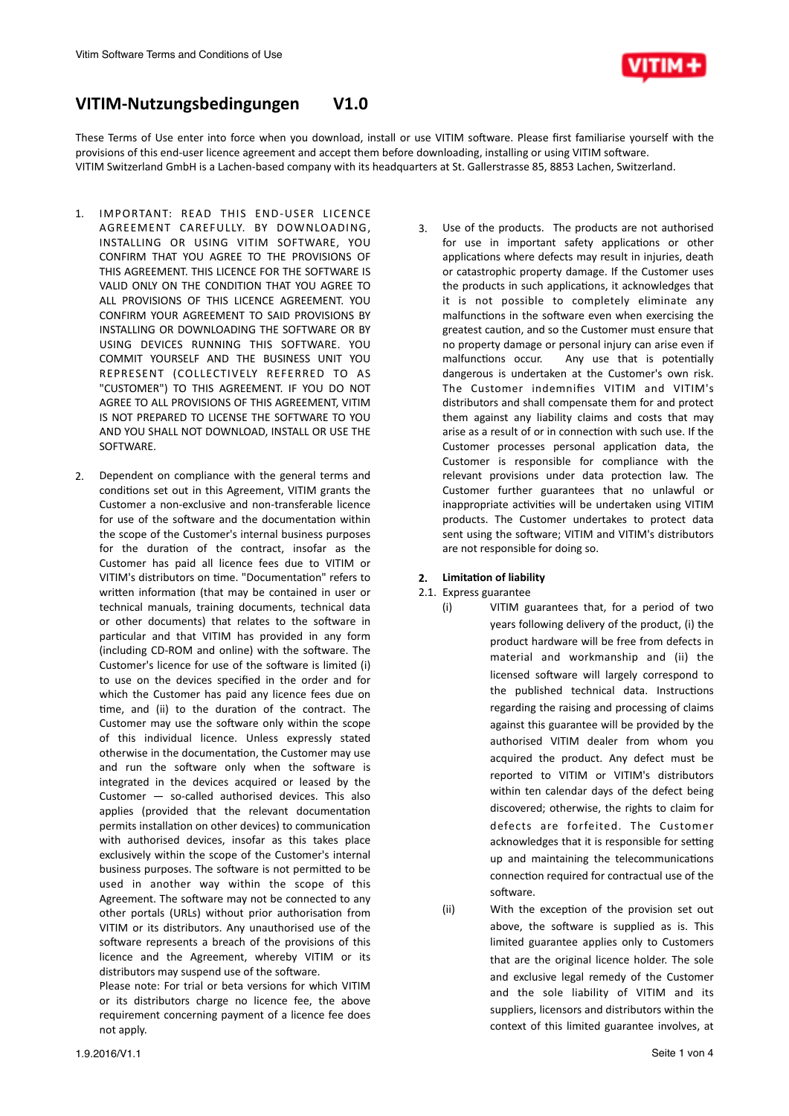

# VITIM-Nutzungsbedingungen V1.0

These Terms of Use enter into force when you download, install or use VITIM software. Please first familiarise yourself with the provisions of this end-user licence agreement and accept them before downloading, installing or using VITIM software. VITIM Switzerland GmbH is a Lachen-based company with its headquarters at St. Gallerstrasse 85, 8853 Lachen, Switzerland.

- 1. IMPORTANT: READ THIS END-USER LICENCE AGREEMENT CAREFULLY. BY DOWNLOADING. INSTALLING OR USING VITIM SOFTWARE, YOU CONFIRM THAT YOU AGREE TO THE PROVISIONS OF THIS AGREEMENT. THIS LICENCE FOR THE SOFTWARE IS VALID ONLY ON THE CONDITION THAT YOU AGREE TO ALL PROVISIONS OF THIS LICENCE AGREEMENT. YOU CONFIRM YOUR AGREEMENT TO SAID PROVISIONS BY INSTALLING OR DOWNLOADING THE SOFTWARE OR BY USING DEVICES RUNNING THIS SOFTWARE. YOU COMMIT YOURSELF AND THE BUSINESS UNIT YOU REPRESENT (COLLECTIVELY REFERRED TO AS "CUSTOMER") TO THIS AGREEMENT. IF YOU DO NOT AGREE TO ALL PROVISIONS OF THIS AGREEMENT, VITIM IS NOT PREPARED TO LICENSE THE SOFTWARE TO YOU AND YOU SHALL NOT DOWNLOAD, INSTALL OR USE THE SOFTWARE.
- 2. Dependent on compliance with the general terms and conditions set out in this Agreement. VITIM grants the Customer a non-exclusive and non-transferable licence for use of the software and the documentation within the scope of the Customer's internal business purposes for the duration of the contract, insofar as the Customer has paid all licence fees due to VITIM or VITIM's distributors on time. "Documentation" refers to written information (that may be contained in user or technical manuals, training documents, technical data or other documents) that relates to the software in particular and that VITIM has provided in any form (including CD-ROM and online) with the software. The Customer's licence for use of the software is limited (i) to use on the devices specified in the order and for which the Customer has paid any licence fees due on time, and (ii) to the duration of the contract. The Customer may use the software only within the scope of this individual licence. Unless expressly stated otherwise in the documentation, the Customer may use and run the software only when the software is integrated in the devices acquired or leased by the Customer  $-$  so-called authorised devices. This also applies (provided that the relevant documentation permits installation on other devices) to communication with authorised devices, insofar as this takes place exclusively within the scope of the Customer's internal business purposes. The software is not permitted to be used in another way within the scope of this Agreement. The software may not be connected to any other portals (URLs) without prior authorisation from VITIM or its distributors. Any unauthorised use of the software represents a breach of the provisions of this licence and the Agreement, whereby VITIM or its distributors may suspend use of the software.

Please note: For trial or beta versions for which VITIM or its distributors charge no licence fee, the above requirement concerning payment of a licence fee does not apply.

3. Use of the products. The products are not authorised for use in important safety applications or other applications where defects may result in injuries, death or catastrophic property damage. If the Customer uses the products in such applications, it acknowledges that it is not possible to completely eliminate any malfunctions in the software even when exercising the greatest caution, and so the Customer must ensure that no property damage or personal injury can arise even if malfunctions occur. Any use that is potentially dangerous is undertaken at the Customer's own risk. The Customer indemnifies VITIM and VITIM's distributors and shall compensate them for and protect them against any liability claims and costs that may arise as a result of or in connection with such use. If the Customer processes personal application data, the Customer is responsible for compliance with the relevant provisions under data protection law. The Customer further guarantees that no unlawful or inappropriate activities will be undertaken using VITIM products. The Customer undertakes to protect data sent using the software; VITIM and VITIM's distributors are not responsible for doing so.

## **2. Limitation of liability**

# 2.1. Express guarantee

- (i) VITIM guarantees that, for a period of two years following delivery of the product, (i) the product hardware will be free from defects in material and workmanship and (ii) the licensed software will largely correspond to the published technical data. Instructions regarding the raising and processing of claims against this guarantee will be provided by the authorised VITIM dealer from whom you acquired the product. Any defect must be reported to VITIM or VITIM's distributors within ten calendar days of the defect being discovered; otherwise, the rights to claim for defects are forfeited. The Customer acknowledges that it is responsible for setting up and maintaining the telecommunications connection required for contractual use of the software.
- (ii) With the exception of the provision set out above, the software is supplied as is. This limited guarantee applies only to Customers that are the original licence holder. The sole and exclusive legal remedy of the Customer and the sole liability of VITIM and its suppliers, licensors and distributors within the context of this limited guarantee involves, at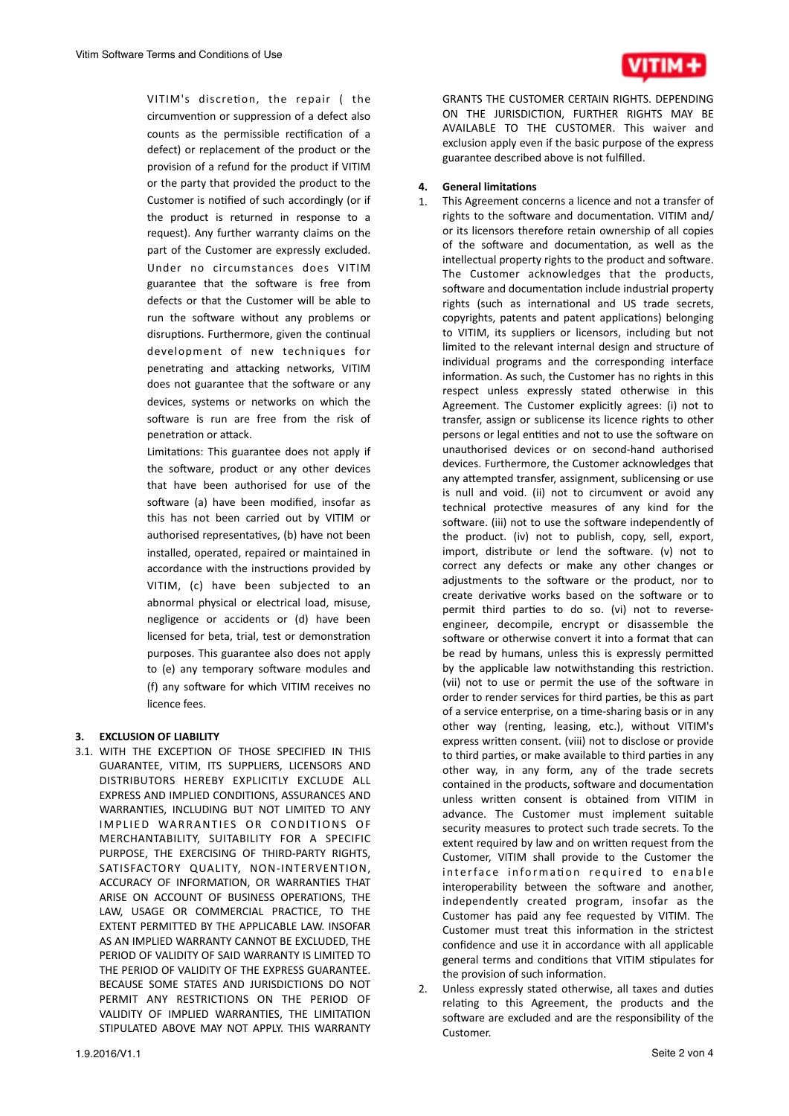

VITIM's discretion, the repair ( the circumvention or suppression of a defect also counts as the permissible rectification of a defect) or replacement of the product or the provision of a refund for the product if VITIM or the party that provided the product to the Customer is notified of such accordingly (or if the product is returned in response to a request). Any further warranty claims on the part of the Customer are expressly excluded. Under no circumstances does VITIM guarantee that the software is free from defects or that the Customer will be able to run the software without any problems or disruptions. Furthermore, given the continual development of new techniques for penetrating and attacking networks, VITIM does not guarantee that the software or any devices, systems or networks on which the software is run are free from the risk of penetration or attack.

Limitations: This guarantee does not apply if the software, product or any other devices that have been authorised for use of the software (a) have been modified, insofar as this has not been carried out by VITIM or authorised representatives, (b) have not been installed, operated, repaired or maintained in accordance with the instructions provided by VITIM, (c) have been subjected to an abnormal physical or electrical load, misuse, negligence or accidents or (d) have been licensed for beta, trial, test or demonstration purposes. This guarantee also does not apply to (e) any temporary software modules and (f) any software for which VITIM receives no licence fees.

# **3. EXCLUSION OF LIABILITY**

3.1. WITH THE EXCEPTION OF THOSE SPECIFIED IN THIS GUARANTEE, VITIM, ITS SUPPLIERS, LICENSORS AND DISTRIBUTORS HEREBY EXPLICITLY EXCLUDE ALL EXPRESS AND IMPLIED CONDITIONS, ASSURANCES AND WARRANTIES, INCLUDING BUT NOT LIMITED TO ANY IMPLIED WARRANTIES OR CONDITIONS OF MERCHANTABILITY, SUITABILITY FOR A SPECIFIC PURPOSE, THE EXERCISING OF THIRD-PARTY RIGHTS, SATISFACTORY QUALITY, NON-INTERVENTION, ACCURACY OF INFORMATION, OR WARRANTIES THAT ARISE ON ACCOUNT OF BUSINESS OPERATIONS, THE LAW, USAGE OR COMMERCIAL PRACTICE, TO THE EXTENT PERMITTED BY THE APPLICABLE LAW. INSOFAR AS AN IMPLIED WARRANTY CANNOT BE EXCLUDED, THE PERIOD OF VALIDITY OF SAID WARRANTY IS LIMITED TO THE PERIOD OF VALIDITY OF THE EXPRESS GUARANTEE. BECAUSE SOME STATES AND JURISDICTIONS DO NOT PERMIT ANY RESTRICTIONS ON THE PERIOD OF VALIDITY OF IMPLIED WARRANTIES, THE LIMITATION STIPULATED ABOVE MAY NOT APPLY. THIS WARRANTY

GRANTS THE CUSTOMER CERTAIN RIGHTS. DEPENDING ON THE JURISDICTION, FURTHER RIGHTS MAY BE AVAILABLE TO THE CUSTOMER. This waiver and exclusion apply even if the basic purpose of the express guarantee described above is not fulfilled.

# **4. General limitations**

- 1. This Agreement concerns a licence and not a transfer of rights to the software and documentation. VITIM and/ or its licensors therefore retain ownership of all copies of the software and documentation, as well as the intellectual property rights to the product and software. The Customer acknowledges that the products, software and documentation include industrial property rights (such as international and US trade secrets, copyrights, patents and patent applications) belonging to VITIM, its suppliers or licensors, including but not limited to the relevant internal design and structure of individual programs and the corresponding interface information. As such, the Customer has no rights in this respect unless expressly stated otherwise in this Agreement. The Customer explicitly agrees: (i) not to transfer, assign or sublicense its licence rights to other persons or legal entities and not to use the software on unauthorised devices or on second-hand authorised devices. Furthermore, the Customer acknowledges that any attempted transfer, assignment, sublicensing or use is null and void. (ii) not to circumvent or avoid any technical protective measures of any kind for the software. (iii) not to use the software independently of the product. (iv) not to publish, copy, sell, export, import, distribute or lend the software.  $(v)$  not to correct any defects or make any other changes or adjustments to the software or the product, nor to create derivative works based on the software or to permit third parties to do so. (vi) not to reverseengineer, decompile, encrypt or disassemble the software or otherwise convert it into a format that can be read by humans, unless this is expressly permitted by the applicable law notwithstanding this restriction. (vii) not to use or permit the use of the software in order to render services for third parties, be this as part of a service enterprise, on a time-sharing basis or in any other way (renting, leasing, etc.), without VITIM's express written consent. (viii) not to disclose or provide to third parties, or make available to third parties in any other way, in any form, any of the trade secrets contained in the products, software and documentation unless written consent is obtained from VITIM in advance. The Customer must implement suitable security measures to protect such trade secrets. To the extent required by law and on written request from the Customer, VITIM shall provide to the Customer the interface information required to enable interoperability between the software and another, independently created program, insofar as the Customer has paid any fee requested by VITIM. The Customer must treat this information in the strictest confidence and use it in accordance with all applicable general terms and conditions that VITIM stipulates for the provision of such information.
- Unless expressly stated otherwise, all taxes and duties relating to this Agreement, the products and the software are excluded and are the responsibility of the Customer.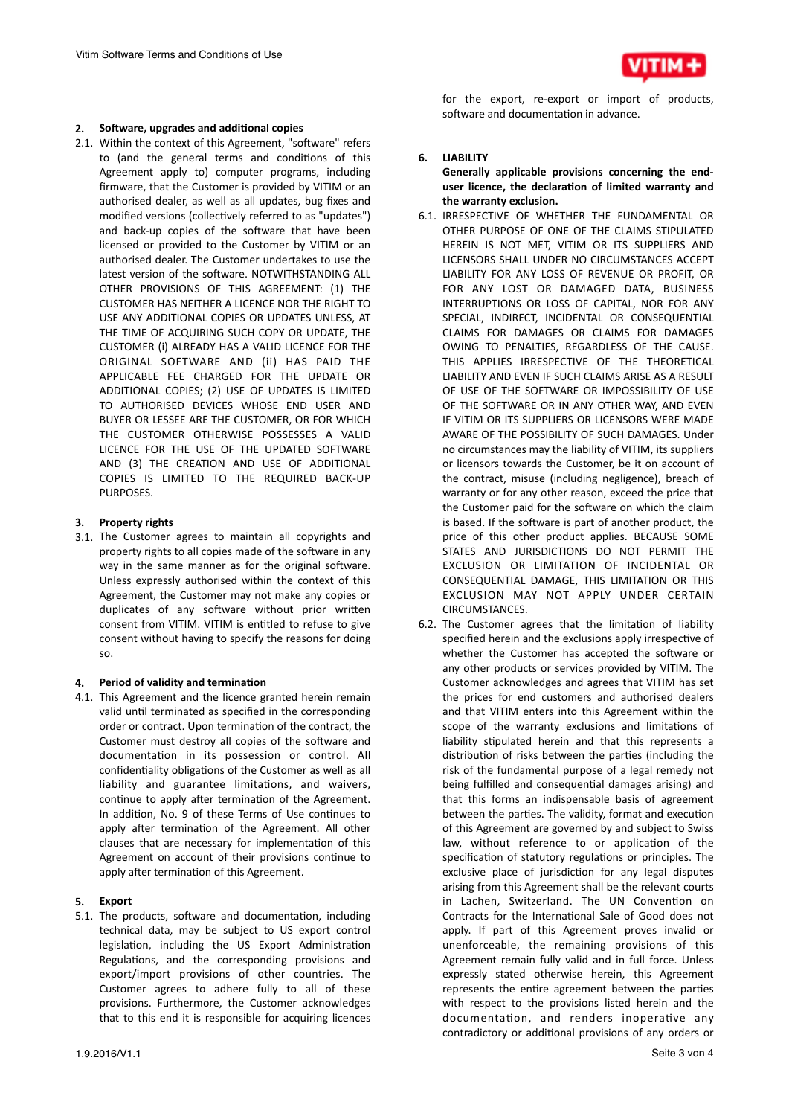

#### **2.** Software, upgrades and additional copies

2.1. Within the context of this Agreement, "software" refers to (and the general terms and conditions of this Agreement apply to) computer programs, including firmware, that the Customer is provided by VITIM or an authorised dealer, as well as all updates, bug fixes and modified versions (collectively referred to as "updates") and back-up copies of the software that have been licensed or provided to the Customer by VITIM or an authorised dealer. The Customer undertakes to use the latest version of the software. NOTWITHSTANDING ALL OTHER PROVISIONS OF THIS AGREEMENT: (1) THE CUSTOMER HAS NEITHER A LICENCE NOR THE RIGHT TO USE ANY ADDITIONAL COPIES OR UPDATES UNLESS, AT THE TIME OF ACQUIRING SUCH COPY OR UPDATE, THE CUSTOMER (i) ALREADY HAS A VALID LICENCE FOR THE ORIGINAL SOFTWARE AND (ii) HAS PAID THE APPLICABLE FEE CHARGED FOR THE UPDATE OR ADDITIONAL COPIES: (2) USE OF UPDATES IS LIMITED TO AUTHORISED DEVICES WHOSE END USER AND BUYER OR LESSEE ARE THE CUSTOMER, OR FOR WHICH THE CUSTOMER OTHERWISE POSSESSES A VALID LICENCE FOR THE USE OF THE UPDATED SOFTWARE AND (3) THE CREATION AND USE OF ADDITIONAL COPIES IS LIMITED TO THE REQUIRED BACK-UP PURPOSES. 

#### **3.** Property rights

3.1. The Customer agrees to maintain all copyrights and property rights to all copies made of the software in any way in the same manner as for the original software. Unless expressly authorised within the context of this Agreement, the Customer may not make any copies or duplicates of any software without prior written consent from VITIM. VITIM is entitled to refuse to give consent without having to specify the reasons for doing so. 

#### 4. **Period of validity and termination**

4.1. This Agreement and the licence granted herein remain valid until terminated as specified in the corresponding order or contract. Upon termination of the contract, the Customer must destroy all copies of the software and documentation in its possession or control. All confidentiality obligations of the Customer as well as all liability and guarantee limitations, and waivers, continue to apply after termination of the Agreement. In addition, No. 9 of these Terms of Use continues to apply after termination of the Agreement. All other clauses that are necessary for implementation of this Agreement on account of their provisions continue to apply after termination of this Agreement.

#### **5. Export**

5.1. The products, software and documentation, including technical data, may be subject to US export control legislation, including the US Export Administration Regulations, and the corresponding provisions and export/import provisions of other countries. The Customer agrees to adhere fully to all of these provisions. Furthermore, the Customer acknowledges that to this end it is responsible for acquiring licences

for the export, re-export or import of products, software and documentation in advance.

#### **6. LIABILITY**

Generally applicable provisions concerning the enduser licence, the declaration of limited warranty and the warranty exclusion.

- 6.1. IRRESPECTIVE OF WHETHER THE FUNDAMENTAL OR OTHER PURPOSE OF ONE OF THE CLAIMS STIPULATED HEREIN IS NOT MET, VITIM OR ITS SUPPLIERS AND LICENSORS SHALL UNDER NO CIRCUMSTANCES ACCEPT LIABILITY FOR ANY LOSS OF REVENUE OR PROFIT, OR FOR ANY LOST OR DAMAGED DATA, BUSINESS INTERRUPTIONS OR LOSS OF CAPITAL, NOR FOR ANY SPECIAL, INDIRECT, INCIDENTAL OR CONSEQUENTIAL CLAIMS FOR DAMAGES OR CLAIMS FOR DAMAGES OWING TO PENALTIES, REGARDLESS OF THE CAUSE. THIS APPLIES IRRESPECTIVE OF THE THEORETICAL LIABILITY AND EVEN IF SUCH CLAIMS ARISE AS A RESULT OF USE OF THE SOFTWARE OR IMPOSSIBILITY OF USE OF THE SOFTWARE OR IN ANY OTHER WAY, AND EVEN IF VITIM OR ITS SUPPLIERS OR LICENSORS WERE MADE AWARE OF THE POSSIBILITY OF SUCH DAMAGES. Under no circumstances may the liability of VITIM, its suppliers or licensors towards the Customer, be it on account of the contract, misuse (including negligence), breach of warranty or for any other reason, exceed the price that the Customer paid for the software on which the claim is based. If the software is part of another product, the price of this other product applies. BECAUSE SOME STATES AND JURISDICTIONS DO NOT PERMIT THE EXCLUSION OR LIMITATION OF INCIDENTAL OR CONSEQUENTIAL DAMAGE, THIS LIMITATION OR THIS EXCLUSION MAY NOT APPLY UNDER CERTAIN CIRCUMSTANCES.
- 6.2. The Customer agrees that the limitation of liability specified herein and the exclusions apply irrespective of whether the Customer has accepted the software or any other products or services provided by VITIM. The Customer acknowledges and agrees that VITIM has set the prices for end customers and authorised dealers and that VITIM enters into this Agreement within the scope of the warranty exclusions and limitations of liability stipulated herein and that this represents a distribution of risks between the parties (including the risk of the fundamental purpose of a legal remedy not being fulfilled and consequential damages arising) and that this forms an indispensable basis of agreement between the parties. The validity, format and execution of this Agreement are governed by and subject to Swiss law, without reference to or application of the specification of statutory regulations or principles. The exclusive place of jurisdiction for any legal disputes arising from this Agreement shall be the relevant courts in Lachen, Switzerland. The UN Convention on Contracts for the International Sale of Good does not apply. If part of this Agreement proves invalid or unenforceable, the remaining provisions of this Agreement remain fully valid and in full force. Unless expressly stated otherwise herein, this Agreement represents the entire agreement between the parties with respect to the provisions listed herein and the documentation, and renders inoperative any contradictory or additional provisions of any orders or